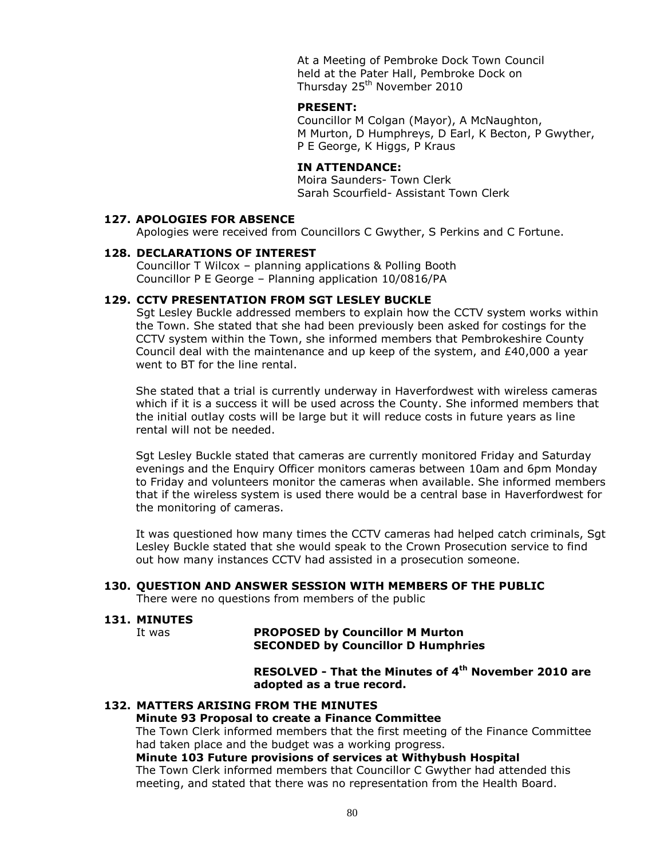At a Meeting of Pembroke Dock Town Council held at the Pater Hall, Pembroke Dock on Thursday 25<sup>th</sup> November 2010

#### **PRESENT:**

Councillor M Colgan (Mayor), A McNaughton, M Murton, D Humphreys, D Earl, K Becton, P Gwyther, P E George, K Higgs, P Kraus

## **IN ATTENDANCE:**

Moira Saunders- Town Clerk Sarah Scourfield- Assistant Town Clerk

#### **127. APOLOGIES FOR ABSENCE**

Apologies were received from Councillors C Gwyther, S Perkins and C Fortune.

#### **128. DECLARATIONS OF INTEREST**

Councillor T Wilcox – planning applications & Polling Booth Councillor P E George – Planning application 10/0816/PA

#### **129. CCTV PRESENTATION FROM SGT LESLEY BUCKLE**

Sgt Lesley Buckle addressed members to explain how the CCTV system works within the Town. She stated that she had been previously been asked for costings for the CCTV system within the Town, she informed members that Pembrokeshire County Council deal with the maintenance and up keep of the system, and £40,000 a year went to BT for the line rental.

She stated that a trial is currently underway in Haverfordwest with wireless cameras which if it is a success it will be used across the County. She informed members that the initial outlay costs will be large but it will reduce costs in future years as line rental will not be needed.

Sgt Lesley Buckle stated that cameras are currently monitored Friday and Saturday evenings and the Enquiry Officer monitors cameras between 10am and 6pm Monday to Friday and volunteers monitor the cameras when available. She informed members that if the wireless system is used there would be a central base in Haverfordwest for the monitoring of cameras.

It was questioned how many times the CCTV cameras had helped catch criminals, Sgt Lesley Buckle stated that she would speak to the Crown Prosecution service to find out how many instances CCTV had assisted in a prosecution someone.

#### **130. QUESTION AND ANSWER SESSION WITH MEMBERS OF THE PUBLIC**

There were no questions from members of the public

## **131. MINUTES**

#### It was **PROPOSED by Councillor M Murton SECONDED by Councillor D Humphries**

**RESOLVED - That the Minutes of 4 th November 2010 are adopted as a true record.**

#### **132. MATTERS ARISING FROM THE MINUTES**

#### **Minute 93 Proposal to create a Finance Committee**

The Town Clerk informed members that the first meeting of the Finance Committee had taken place and the budget was a working progress.

#### **Minute 103 Future provisions of services at Withybush Hospital**

The Town Clerk informed members that Councillor C Gwyther had attended this meeting, and stated that there was no representation from the Health Board.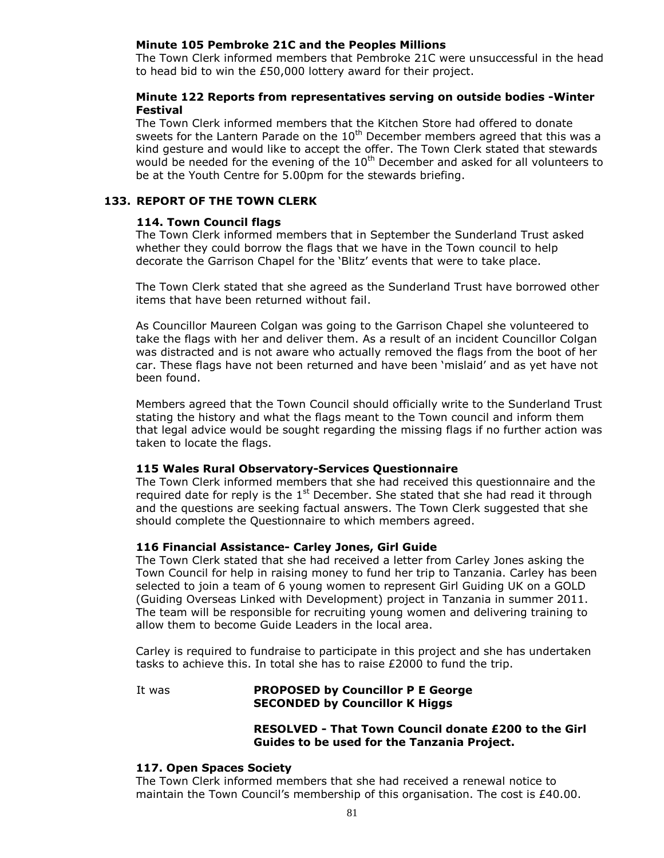## **Minute 105 Pembroke 21C and the Peoples Millions**

The Town Clerk informed members that Pembroke 21C were unsuccessful in the head to head bid to win the £50,000 lottery award for their project.

## **Minute 122 Reports from representatives serving on outside bodies -Winter Festival**

The Town Clerk informed members that the Kitchen Store had offered to donate sweets for the Lantern Parade on the  $10<sup>th</sup>$  December members agreed that this was a kind gesture and would like to accept the offer. The Town Clerk stated that stewards would be needed for the evening of the  $10<sup>th</sup>$  December and asked for all volunteers to be at the Youth Centre for 5.00pm for the stewards briefing.

#### **133. REPORT OF THE TOWN CLERK**

#### **114. Town Council flags**

The Town Clerk informed members that in September the Sunderland Trust asked whether they could borrow the flags that we have in the Town council to help decorate the Garrison Chapel for the 'Blitz' events that were to take place.

The Town Clerk stated that she agreed as the Sunderland Trust have borrowed other items that have been returned without fail.

As Councillor Maureen Colgan was going to the Garrison Chapel she volunteered to take the flags with her and deliver them. As a result of an incident Councillor Colgan was distracted and is not aware who actually removed the flags from the boot of her car. These flags have not been returned and have been 'mislaid' and as yet have not been found.

Members agreed that the Town Council should officially write to the Sunderland Trust stating the history and what the flags meant to the Town council and inform them that legal advice would be sought regarding the missing flags if no further action was taken to locate the flags.

#### **115 Wales Rural Observatory-Services Questionnaire**

The Town Clerk informed members that she had received this questionnaire and the required date for reply is the  $1<sup>st</sup>$  December. She stated that she had read it through and the questions are seeking factual answers. The Town Clerk suggested that she should complete the Questionnaire to which members agreed.

#### **116 Financial Assistance- Carley Jones, Girl Guide**

The Town Clerk stated that she had received a letter from Carley Jones asking the Town Council for help in raising money to fund her trip to Tanzania. Carley has been selected to join a team of 6 young women to represent Girl Guiding UK on a GOLD (Guiding Overseas Linked with Development) project in Tanzania in summer 2011. The team will be responsible for recruiting young women and delivering training to allow them to become Guide Leaders in the local area.

Carley is required to fundraise to participate in this project and she has undertaken tasks to achieve this. In total she has to raise £2000 to fund the trip.

#### It was **PROPOSED by Councillor P E George SECONDED by Councillor K Higgs**

#### **RESOLVED - That Town Council donate £200 to the Girl Guides to be used for the Tanzania Project.**

#### **117. Open Spaces Society**

The Town Clerk informed members that she had received a renewal notice to maintain the Town Council's membership of this organisation. The cost is £40.00.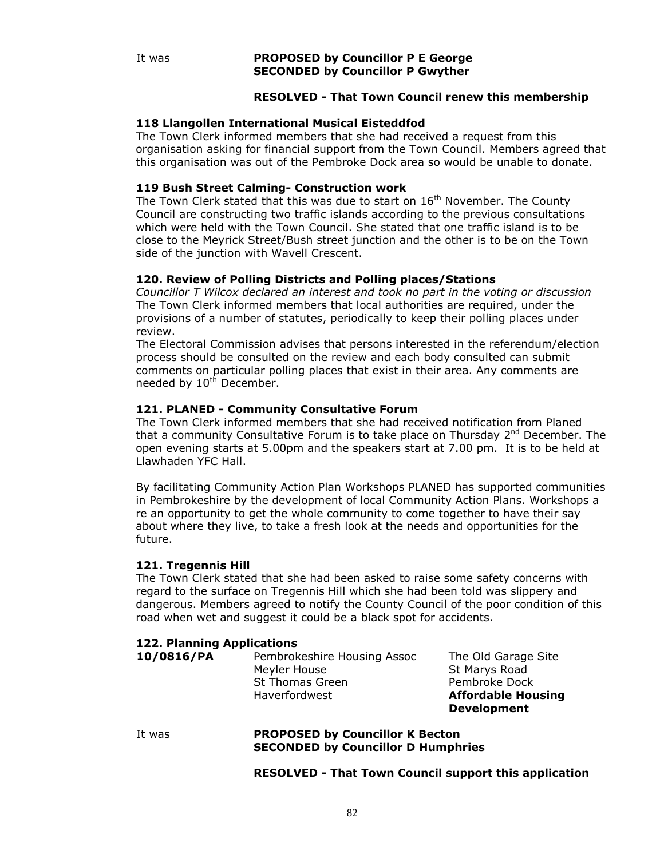## **RESOLVED - That Town Council renew this membership**

## **118 Llangollen International Musical Eisteddfod**

The Town Clerk informed members that she had received a request from this organisation asking for financial support from the Town Council. Members agreed that this organisation was out of the Pembroke Dock area so would be unable to donate.

## **119 Bush Street Calming- Construction work**

The Town Clerk stated that this was due to start on  $16<sup>th</sup>$  November. The County Council are constructing two traffic islands according to the previous consultations which were held with the Town Council. She stated that one traffic island is to be close to the Meyrick Street/Bush street junction and the other is to be on the Town side of the junction with Wavell Crescent.

## **120. Review of Polling Districts and Polling places/Stations**

*Councillor T Wilcox declared an interest and took no part in the voting or discussion* The Town Clerk informed members that local authorities are required, under the provisions of a number of statutes, periodically to keep their polling places under review.

The Electoral Commission advises that persons interested in the referendum/election process should be consulted on the review and each body consulted can submit comments on particular polling places that exist in their area. Any comments are needed by 10<sup>th</sup> December.

## **121. PLANED - Community Consultative Forum**

The Town Clerk informed members that she had received notification from Planed that a community Consultative Forum is to take place on Thursday 2<sup>nd</sup> December. The open evening starts at 5.00pm and the speakers start at 7.00 pm. It is to be held at Llawhaden YFC Hall.

By facilitating Community Action Plan Workshops PLANED has supported communities in Pembrokeshire by the development of local Community Action Plans. Workshops a re an opportunity to get the whole community to come together to have their say about where they live, to take a fresh look at the needs and opportunities for the future.

## **121. Tregennis Hill**

The Town Clerk stated that she had been asked to raise some safety concerns with regard to the surface on Tregennis Hill which she had been told was slippery and dangerous. Members agreed to notify the County Council of the poor condition of this road when wet and suggest it could be a black spot for accidents.

## **122. Planning Applications**

**10/0816/PA** Pembrokeshire Housing Assoc The Old Garage Site Meyler House St Marys Road St Thomas Green Pembroke Dock Haverfordwest **Affordable Housing** 

**Development**

#### It was **PROPOSED by Councillor K Becton SECONDED by Councillor D Humphries**

**RESOLVED - That Town Council support this application**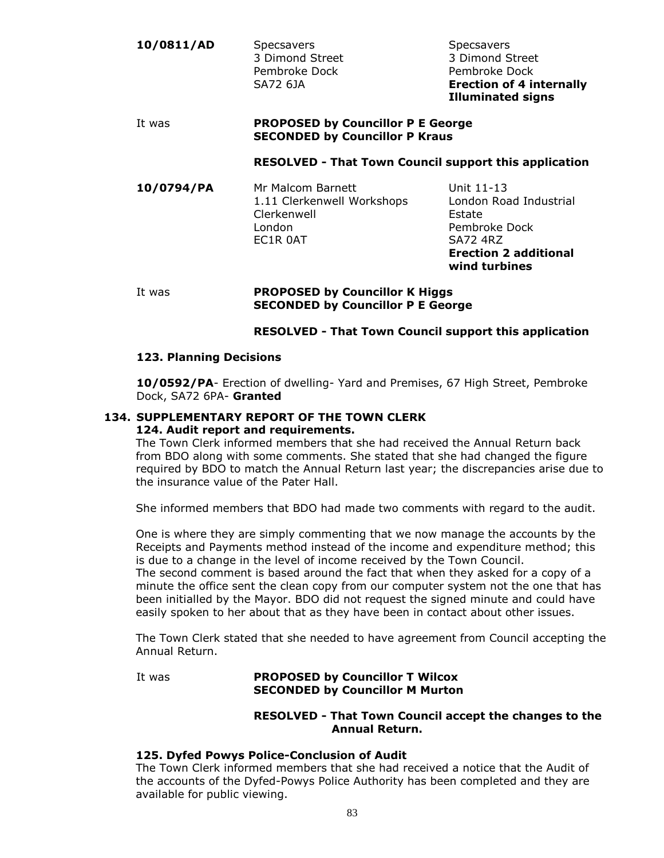| 10/0811/AD | Specsavers      | Specsavers                      |
|------------|-----------------|---------------------------------|
|            | 3 Dimond Street | 3 Dimond Street                 |
|            | Pembroke Dock   | Pembroke Dock                   |
|            | SA72 6JA        | <b>Erection of 4 internally</b> |
|            |                 | <b>Illuminated signs</b>        |

#### It was **PROPOSED by Councillor P E George SECONDED by Councillor P Kraus**

#### **RESOLVED - That Town Council support this application**

**10/0794/PA** Mr Malcom Barnett Unit 11-13 1.11 Clerkenwell Workshops London Road Industrial Clerkenwell **Estate** London Pembroke Dock EC1R 0AT SA72 4RZ

**Erection 2 additional wind turbines**

#### It was **PROPOSED by Councillor K Higgs SECONDED by Councillor P E George**

# **RESOLVED - That Town Council support this application**

# **123. Planning Decisions**

**10/0592/PA**- Erection of dwelling- Yard and Premises, 67 High Street, Pembroke Dock, SA72 6PA- **Granted**

#### **134. SUPPLEMENTARY REPORT OF THE TOWN CLERK 124. Audit report and requirements.**

The Town Clerk informed members that she had received the Annual Return back from BDO along with some comments. She stated that she had changed the figure required by BDO to match the Annual Return last year; the discrepancies arise due to the insurance value of the Pater Hall.

She informed members that BDO had made two comments with regard to the audit.

One is where they are simply commenting that we now manage the accounts by the Receipts and Payments method instead of the income and expenditure method; this is due to a change in the level of income received by the Town Council.

The second comment is based around the fact that when they asked for a copy of a minute the office sent the clean copy from our computer system not the one that has been initialled by the Mayor. BDO did not request the signed minute and could have easily spoken to her about that as they have been in contact about other issues.

The Town Clerk stated that she needed to have agreement from Council accepting the Annual Return.

## It was **PROPOSED by Councillor T Wilcox SECONDED by Councillor M Murton**

## **RESOLVED - That Town Council accept the changes to the Annual Return.**

## **125. Dyfed Powys Police-Conclusion of Audit**

The Town Clerk informed members that she had received a notice that the Audit of the accounts of the Dyfed-Powys Police Authority has been completed and they are available for public viewing.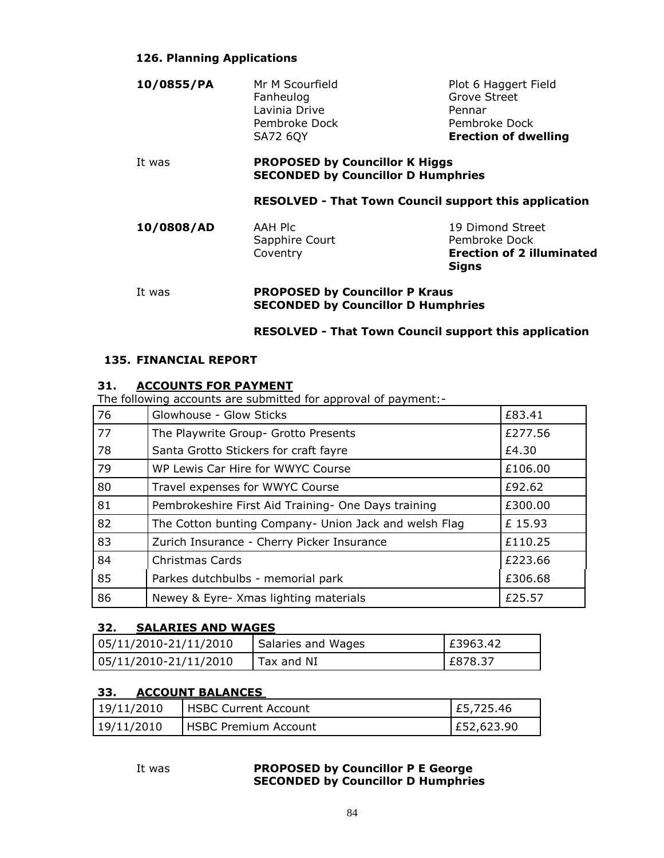# **126. Planning Applications**

| 10/0855/PA                                                   | Mr M Scourfield<br>Fanheulog<br>Lavinia Drive                                                                          | Plot 6 Haggert Field<br>Grove Street<br>Pennar |
|--------------------------------------------------------------|------------------------------------------------------------------------------------------------------------------------|------------------------------------------------|
| It was                                                       | Pembroke Dock<br><b>SA72 6QY</b><br><b>PROPOSED by Councillor K Higgs</b><br><b>SECONDED by Councillor D Humphries</b> | Pembroke Dock<br><b>Erection of dwelling</b>   |
| <b>RESOLVED - That Town Council support this application</b> |                                                                                                                        |                                                |

| Sapphire Court | Pembroke Dock                    |
|----------------|----------------------------------|
| Coventry       | <b>Erection of 2 illuminated</b> |
|                | Sians                            |

#### It was **PROPOSED by Councillor P Kraus SECONDED by Councillor D Humphries**

# **RESOLVED - That Town Council support this application**

# **135. FINANCIAL REPORT**

# **31. ACCOUNTS FOR PAYMENT**

The following accounts are submitted for approval of payment:-

| 76 | Glowhouse - Glow Sticks                               | £83.41  |
|----|-------------------------------------------------------|---------|
| 77 | The Playwrite Group- Grotto Presents                  | £277.56 |
| 78 | Santa Grotto Stickers for craft fayre                 | £4.30   |
| 79 | WP Lewis Car Hire for WWYC Course                     | £106.00 |
| 80 | Travel expenses for WWYC Course                       | £92.62  |
| 81 | Pembrokeshire First Aid Training- One Days training   | £300.00 |
| 82 | The Cotton bunting Company- Union Jack and welsh Flag | £15.93  |
| 83 | Zurich Insurance - Cherry Picker Insurance            | £110.25 |
| 84 | Christmas Cards                                       | £223.66 |
| 85 | Parkes dutchbulbs - memorial park                     | £306.68 |
| 86 | Newey & Eyre- Xmas lighting materials                 | £25.57  |

# **32. SALARIES AND WAGES**

| 05/11/2010-21/11/2010 | Salaries and Wages | E3963.42 |
|-----------------------|--------------------|----------|
| 05/11/2010-21/11/2010 | Tax and NI         | LE878.37 |

# **33. ACCOUNT BALANCES**

| 19/11/2010 | l HSBC Current Account | E5,725.46  |
|------------|------------------------|------------|
| 19/11/2010 | l HSBC Premium Account | E52,623.90 |

# It was **PROPOSED by Councillor P E George SECONDED by Councillor D Humphries**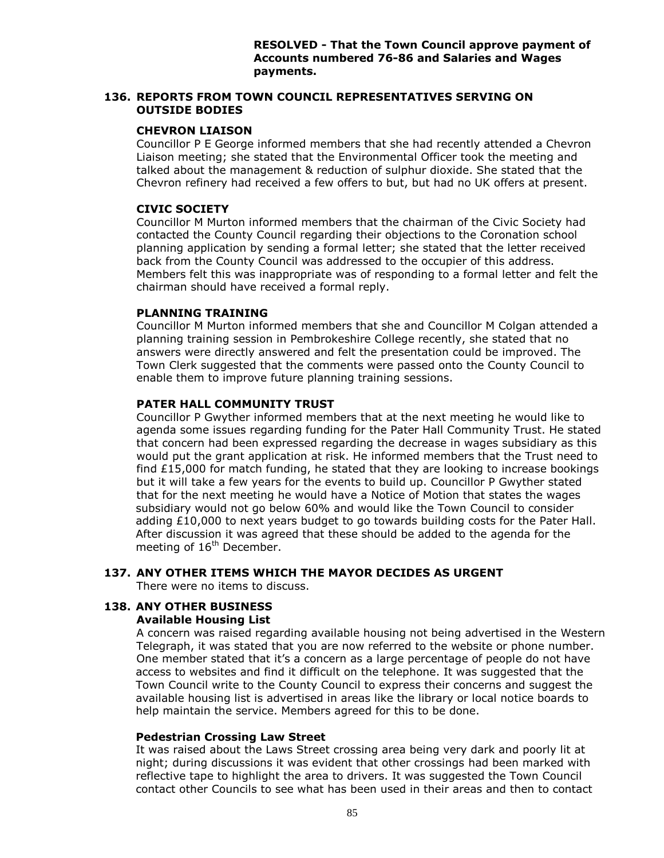## **136. REPORTS FROM TOWN COUNCIL REPRESENTATIVES SERVING ON OUTSIDE BODIES**

## **CHEVRON LIAISON**

Councillor P E George informed members that she had recently attended a Chevron Liaison meeting; she stated that the Environmental Officer took the meeting and talked about the management & reduction of sulphur dioxide. She stated that the Chevron refinery had received a few offers to but, but had no UK offers at present.

# **CIVIC SOCIETY**

Councillor M Murton informed members that the chairman of the Civic Society had contacted the County Council regarding their objections to the Coronation school planning application by sending a formal letter; she stated that the letter received back from the County Council was addressed to the occupier of this address. Members felt this was inappropriate was of responding to a formal letter and felt the chairman should have received a formal reply.

# **PLANNING TRAINING**

Councillor M Murton informed members that she and Councillor M Colgan attended a planning training session in Pembrokeshire College recently, she stated that no answers were directly answered and felt the presentation could be improved. The Town Clerk suggested that the comments were passed onto the County Council to enable them to improve future planning training sessions.

# **PATER HALL COMMUNITY TRUST**

Councillor P Gwyther informed members that at the next meeting he would like to agenda some issues regarding funding for the Pater Hall Community Trust. He stated that concern had been expressed regarding the decrease in wages subsidiary as this would put the grant application at risk. He informed members that the Trust need to find £15,000 for match funding, he stated that they are looking to increase bookings but it will take a few years for the events to build up. Councillor P Gwyther stated that for the next meeting he would have a Notice of Motion that states the wages subsidiary would not go below 60% and would like the Town Council to consider adding £10,000 to next years budget to go towards building costs for the Pater Hall. After discussion it was agreed that these should be added to the agenda for the meeting of  $16<sup>th</sup>$  December.

# **137. ANY OTHER ITEMS WHICH THE MAYOR DECIDES AS URGENT**

There were no items to discuss.

# **138. ANY OTHER BUSINESS**

# **Available Housing List**

A concern was raised regarding available housing not being advertised in the Western Telegraph, it was stated that you are now referred to the website or phone number. One member stated that it's a concern as a large percentage of people do not have access to websites and find it difficult on the telephone. It was suggested that the Town Council write to the County Council to express their concerns and suggest the available housing list is advertised in areas like the library or local notice boards to help maintain the service. Members agreed for this to be done.

## **Pedestrian Crossing Law Street**

It was raised about the Laws Street crossing area being very dark and poorly lit at night; during discussions it was evident that other crossings had been marked with reflective tape to highlight the area to drivers. It was suggested the Town Council contact other Councils to see what has been used in their areas and then to contact